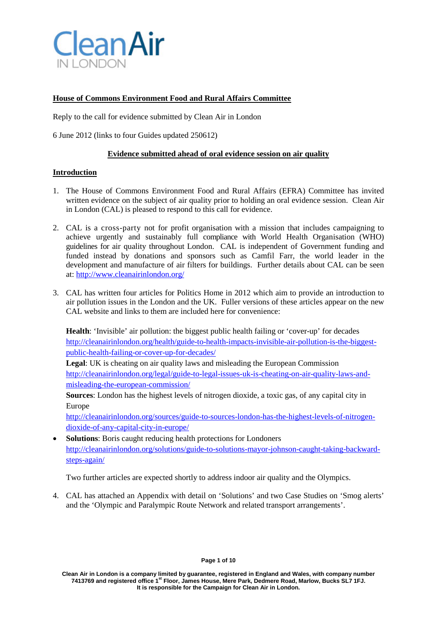

# **House of Commons Environment Food and Rural Affairs Committee**

Reply to the call for evidence submitted by Clean Air in London

6 June 2012 (links to four Guides updated 250612)

## **Evidence submitted ahead of oral evidence session on air quality**

### **Introduction**

- 1. The House of Commons Environment Food and Rural Affairs (EFRA) Committee has invited written evidence on the subject of air quality prior to holding an oral evidence session. Clean Air in London (CAL) is pleased to respond to this call for evidence.
- 2. CAL is a cross-party not for profit organisation with a mission that includes campaigning to achieve urgently and sustainably full compliance with World Health Organisation (WHO) guidelines for air quality throughout London. CAL is independent of Government funding and funded instead by donations and sponsors such as Camfil Farr, the world leader in the development and manufacture of air filters for buildings. Further details about CAL can be seen at[: http://www.cleanairinlondon.org/](http://www.cleanairinlondon.org/)
- 3. CAL has written four articles for Politics Home in 2012 which aim to provide an introduction to air pollution issues in the London and the UK. Fuller versions of these articles appear on the new CAL website and links to them are included here for convenience:

**Health**: 'Invisible' air pollution: the biggest public health failing or 'cover-up' for decades [http://cleanairinlondon.org/health/guide-to-health-impacts-invisible-air-pollution-is-the-biggest](http://cleanairinlondon.org/health/guide-to-health-impacts-invisible-air-pollution-is-the-biggest-public-health-failing-or-cover-up-for-decades/)[public-health-failing-or-cover-up-for-decades/](http://cleanairinlondon.org/health/guide-to-health-impacts-invisible-air-pollution-is-the-biggest-public-health-failing-or-cover-up-for-decades/)

**Legal**: UK is cheating on air quality laws and misleading the European Commission [http://cleanairinlondon.org/legal/guide-to-legal-issues-uk-is-cheating-on-air-quality-laws-and](http://cleanairinlondon.org/legal/guide-to-legal-issues-uk-is-cheating-on-air-quality-laws-and-misleading-the-european-commission/)[misleading-the-european-commission/](http://cleanairinlondon.org/legal/guide-to-legal-issues-uk-is-cheating-on-air-quality-laws-and-misleading-the-european-commission/)

**Sources**: London has the highest levels of nitrogen dioxide, a toxic gas, of any capital city in Europe

[http://cleanairinlondon.org/sources/guide-to-sources-london-has-the-highest-levels-of-nitrogen](http://cleanairinlondon.org/sources/guide-to-sources-london-has-the-highest-levels-of-nitrogen-dioxide-of-any-capital-city-in-europe/)[dioxide-of-any-capital-city-in-europe/](http://cleanairinlondon.org/sources/guide-to-sources-london-has-the-highest-levels-of-nitrogen-dioxide-of-any-capital-city-in-europe/)

• **Solutions**: Boris caught reducing health protections for Londoners [http://cleanairinlondon.org/solutions/guide-to-solutions-mayor-johnson-caught-taking-backward](http://cleanairinlondon.org/solutions/guide-to-solutions-mayor-johnson-caught-taking-backward-steps-again/)[steps-again/](http://cleanairinlondon.org/solutions/guide-to-solutions-mayor-johnson-caught-taking-backward-steps-again/)

Two further articles are expected shortly to address indoor air quality and the Olympics.

4. CAL has attached an Appendix with detail on 'Solutions' and two Case Studies on 'Smog alerts' and the 'Olympic and Paralympic Route Network and related transport arrangements'.

**Clean Air in London is a company limited by guarantee, registered in England and Wales, with company number 7413769 and registered office 1st Floor, James House, Mere Park, Dedmere Road, Marlow, Bucks SL7 1FJ. It is responsible for the Campaign for Clean Air in London.**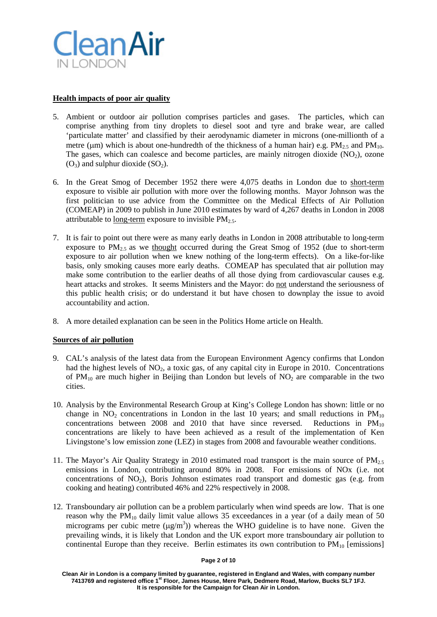

## **Health impacts of poor air quality**

- 5. Ambient or outdoor air pollution comprises particles and gases. The particles, which can comprise anything from tiny droplets to diesel soot and tyre and brake wear, are called 'particulate matter' and classified by their aerodynamic diameter in microns (one-millionth of a metre ( $\mu$ m) which is about one-hundredth of the thickness of a human hair) e.g.  $PM_{2.5}$  and  $PM_{10}$ . The gases, which can coalesce and become particles, are mainly nitrogen dioxide  $(NO<sub>2</sub>)$ , ozone  $(O_3)$  and sulphur dioxide  $(SO_2)$ .
- 6. In the Great Smog of December 1952 there were 4,075 deaths in London due to short-term exposure to visible air pollution with more over the following months. Mayor Johnson was the first politician to use advice from the Committee on the Medical Effects of Air Pollution (COMEAP) in 2009 to publish in June 2010 estimates by ward of 4,267 deaths in London in 2008 attributable to long-term exposure to invisible  $PM_{2.5}$ .
- 7. It is fair to point out there were as many early deaths in London in 2008 attributable to long-term exposure to  $PM_{2,5}$  as we thought occurred during the Great Smog of 1952 (due to short-term exposure to air pollution when we knew nothing of the long-term effects). On a like-for-like basis, only smoking causes more early deaths. COMEAP has speculated that air pollution may make some contribution to the earlier deaths of all those dying from cardiovascular causes e.g. heart attacks and strokes. It seems Ministers and the Mayor: do not understand the seriousness of this public health crisis; or do understand it but have chosen to downplay the issue to avoid accountability and action.
- 8. A more detailed explanation can be seen in the Politics Home article on Health.

### **Sources of air pollution**

- 9. CAL's analysis of the latest data from the European Environment Agency confirms that London had the highest levels of  $NO<sub>2</sub>$ , a toxic gas, of any capital city in Europe in 2010. Concentrations of  $PM_{10}$  are much higher in Beijing than London but levels of  $NO<sub>2</sub>$  are comparable in the two cities.
- 10. Analysis by the Environmental Research Group at King's College London has shown: little or no change in NO<sub>2</sub> concentrations in London in the last 10 years; and small reductions in  $PM_{10}$ concentrations between 2008 and 2010 that have since reversed. Reductions in  $PM_{10}$ concentrations are likely to have been achieved as a result of the implementation of Ken Livingstone's low emission zone (LEZ) in stages from 2008 and favourable weather conditions.
- 11. The Mayor's Air Quality Strategy in 2010 estimated road transport is the main source of  $PM<sub>2.5</sub>$ emissions in London, contributing around 80% in 2008. For emissions of NOx (i.e. not concentrations of  $NO<sub>2</sub>$ ), Boris Johnson estimates road transport and domestic gas (e.g. from cooking and heating) contributed 46% and 22% respectively in 2008.
- 12. Transboundary air pollution can be a problem particularly when wind speeds are low. That is one reason why the  $PM_{10}$  daily limit value allows 35 exceedances in a year (of a daily mean of 50 micrograms per cubic metre  $(\mu g/m^3)$ ) whereas the WHO guideline is to have none. Given the prevailing winds, it is likely that London and the UK export more transboundary air pollution to continental Europe than they receive. Berlin estimates its own contribution to  $PM_{10}$  [emissions]

#### **Page 2 of 10**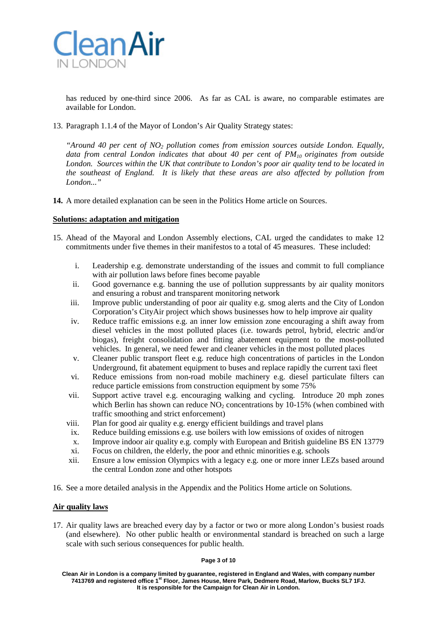

has reduced by one-third since 2006. As far as CAL is aware, no comparable estimates are available for London.

13. Paragraph 1.1.4 of the Mayor of London's Air Quality Strategy states:

*"Around 40 per cent of NO2 pollution comes from emission sources outside London. Equally, data from central London indicates that about 40 per cent of PM<sub>10</sub> originates from outside London. Sources within the UK that contribute to London's poor air quality tend to be located in the southeast of England. It is likely that these areas are also affected by pollution from London..."*

**14.** A more detailed explanation can be seen in the Politics Home article on Sources.

### **Solutions: adaptation and mitigation**

- 15. Ahead of the Mayoral and London Assembly elections, CAL urged the candidates to make 12 commitments under five themes in their manifestos to a total of 45 measures. These included:
	- i. Leadership e.g. demonstrate understanding of the issues and commit to full compliance with air pollution laws before fines become payable
	- ii. Good governance e.g. banning the use of pollution suppressants by air quality monitors and ensuring a robust and transparent monitoring network
	- iii. Improve public understanding of poor air quality e.g. smog alerts and the City of London Corporation's CityAir project which shows businesses how to help improve air quality
	- iv. Reduce traffic emissions e.g. an inner low emission zone encouraging a shift away from diesel vehicles in the most polluted places (i.e. towards petrol, hybrid, electric and/or biogas), freight consolidation and fitting abatement equipment to the most-polluted vehicles. In general, we need fewer and cleaner vehicles in the most polluted places
	- v. Cleaner public transport fleet e.g. reduce high concentrations of particles in the London Underground, fit abatement equipment to buses and replace rapidly the current taxi fleet
	- vi. Reduce emissions from non-road mobile machinery e.g. diesel particulate filters can reduce particle emissions from construction equipment by some 75%
	- vii. Support active travel e.g. encouraging walking and cycling. Introduce 20 mph zones which Berlin has shown can reduce  $NO<sub>2</sub>$  concentrations by 10-15% (when combined with traffic smoothing and strict enforcement)
	- viii. Plan for good air quality e.g. energy efficient buildings and travel plans
	- ix. Reduce building emissions e.g. use boilers with low emissions of oxides of nitrogen
	- x. Improve indoor air quality e.g. comply with European and British guideline BS EN 13779
	- xi. Focus on children, the elderly, the poor and ethnic minorities e.g. schools
	- xii. Ensure a low emission Olympics with a legacy e.g. one or more inner LEZs based around the central London zone and other hotspots
- 16. See a more detailed analysis in the Appendix and the Politics Home article on Solutions.

### **Air quality laws**

17. Air quality laws are breached every day by a factor or two or more along London's busiest roads (and elsewhere). No other public health or environmental standard is breached on such a large scale with such serious consequences for public health.

#### **Page 3 of 10**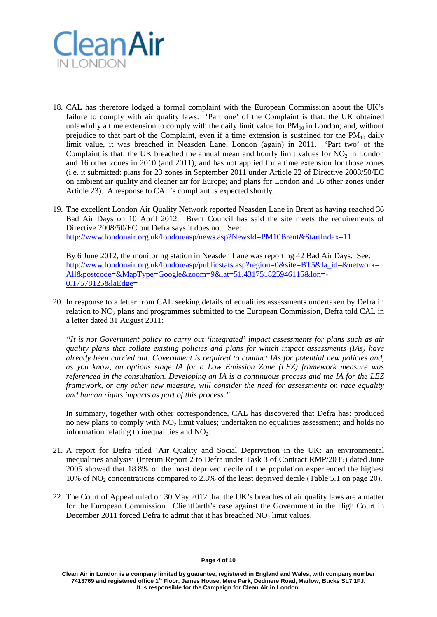

- 18. CAL has therefore lodged a formal complaint with the European Commission about the UK's failure to comply with air quality laws. 'Part one' of the Complaint is that: the UK obtained unlawfully a time extension to comply with the daily limit value for  $PM_{10}$  in London; and, without prejudice to that part of the Complaint, even if a time extension is sustained for the  $PM_{10}$  daily limit value, it was breached in Neasden Lane, London (again) in 2011. 'Part two' of the Complaint is that: the UK breached the annual mean and hourly limit values for  $NO<sub>2</sub>$  in London and 16 other zones in 2010 (and 2011); and has not applied for a time extension for those zones (i.e. it submitted: plans for 23 zones in September 2011 under Article 22 of Directive 2008/50/EC on ambient air quality and cleaner air for Europe; and plans for London and 16 other zones under Article 23). A response to CAL's compliant is expected shortly.
- 19. The excellent London Air Quality Network reported Neasden Lane in Brent as having reached 36 Bad Air Days on 10 April 2012. Brent Council has said the site meets the requirements of Directive 2008/50/EC but Defra says it does not. See: <http://www.londonair.org.uk/london/asp/news.asp?NewsId=PM10Brent&StartIndex=11>

By 6 June 2012, the monitoring station in Neasden Lane was reporting 42 Bad Air Days. See: [http://www.londonair.org.uk/london/asp/publicstats.asp?region=0&site=BT5&la\\_id=&network=](http://www.londonair.org.uk/london/asp/publicstats.asp?region=0&site=BT5&la_id=&network=All&postcode=&MapType=Google&zoom=9&lat=51.431751825946115&lon=-0.17578125&laEdge) [All&postcode=&MapType=Google&zoom=9&lat=51.431751825946115&lon=-](http://www.londonair.org.uk/london/asp/publicstats.asp?region=0&site=BT5&la_id=&network=All&postcode=&MapType=Google&zoom=9&lat=51.431751825946115&lon=-0.17578125&laEdge) [0.17578125&laEdge=](http://www.londonair.org.uk/london/asp/publicstats.asp?region=0&site=BT5&la_id=&network=All&postcode=&MapType=Google&zoom=9&lat=51.431751825946115&lon=-0.17578125&laEdge)

20. In response to a letter from CAL seeking details of equalities assessments undertaken by Defra in relation to  $NO<sub>2</sub>$  plans and programmes submitted to the European Commission, Defra told CAL in a letter dated 31 August 2011:

*"It is not Government policy to carry out 'integrated' impact assessments for plans such as air quality plans that collate existing policies and plans for which impact assessments (IAs) have already been carried out. Government is required to conduct IAs for potential new policies and, as you know, an options stage IA for a Low Emission Zone (LEZ) framework measure was referenced in the consultation. Developing an IA is a continuous process and the IA for the LEZ framework, or any other new measure, will consider the need for assessments on race equality and human rights impacts as part of this process."*

In summary, together with other correspondence, CAL has discovered that Defra has: produced no new plans to comply with NO<sub>2</sub> limit values; undertaken no equalities assessment; and holds no information relating to inequalities and  $NO<sub>2</sub>$ .

- 21. A report for Defra titled 'Air Quality and Social Deprivation in the UK: an environmental inequalities analysis' (Interim Report 2 to Defra under Task 3 of Contract RMP/2035) dated June 2005 showed that 18.8% of the most deprived decile of the population experienced the highest 10% of  $NO<sub>2</sub>$  concentrations compared to 2.8% of the least deprived decile (Table 5.1 on page 20).
- 22. The Court of Appeal ruled on 30 May 2012 that the UK's breaches of air quality laws are a matter for the European Commission. ClientEarth's case against the Government in the High Court in December 2011 forced Defra to admit that it has breached  $NO<sub>2</sub>$  limit values.

**Clean Air in London is a company limited by guarantee, registered in England and Wales, with company number 7413769 and registered office 1st Floor, James House, Mere Park, Dedmere Road, Marlow, Bucks SL7 1FJ. It is responsible for the Campaign for Clean Air in London.**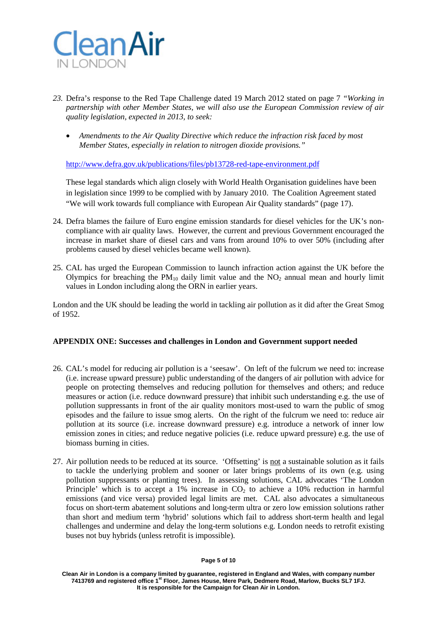

- *23.* Defra's response to the Red Tape Challenge dated 19 March 2012 stated on page 7 *"Working in partnership with other Member States, we will also use the European Commission review of air quality legislation, expected in 2013, to seek:* 
	- *Amendments to the Air Quality Directive which reduce the infraction risk faced by most Member States, especially in relation to nitrogen dioxide provisions."*

<http://www.defra.gov.uk/publications/files/pb13728-red-tape-environment.pdf>

These legal standards which align closely with World Health Organisation guidelines have been in legislation since 1999 to be complied with by January 2010. The Coalition Agreement stated "We will work towards full compliance with European Air Quality standards" (page 17).

- 24. Defra blames the failure of Euro engine emission standards for diesel vehicles for the UK's noncompliance with air quality laws. However, the current and previous Government encouraged the increase in market share of diesel cars and vans from around 10% to over 50% (including after problems caused by diesel vehicles became well known).
- 25. CAL has urged the European Commission to launch infraction action against the UK before the Olympics for breaching the  $PM_{10}$  daily limit value and the NO<sub>2</sub> annual mean and hourly limit values in London including along the ORN in earlier years.

London and the UK should be leading the world in tackling air pollution as it did after the Great Smog of 1952.

## **APPENDIX ONE: Successes and challenges in London and Government support needed**

- 26. CAL's model for reducing air pollution is a 'seesaw'. On left of the fulcrum we need to: increase (i.e. increase upward pressure) public understanding of the dangers of air pollution with advice for people on protecting themselves and reducing pollution for themselves and others; and reduce measures or action (i.e. reduce downward pressure) that inhibit such understanding e.g. the use of pollution suppressants in front of the air quality monitors most-used to warn the public of smog episodes and the failure to issue smog alerts. On the right of the fulcrum we need to: reduce air pollution at its source (i.e. increase downward pressure) e.g. introduce a network of inner low emission zones in cities; and reduce negative policies (i.e. reduce upward pressure) e.g. the use of biomass burning in cities.
- 27. Air pollution needs to be reduced at its source. 'Offsetting' is not a sustainable solution as it fails to tackle the underlying problem and sooner or later brings problems of its own (e.g. using pollution suppressants or planting trees). In assessing solutions, CAL advocates 'The London Principle' which is to accept a 1% increase in  $CO<sub>2</sub>$  to achieve a 10% reduction in harmful emissions (and vice versa) provided legal limits are met. CAL also advocates a simultaneous focus on short-term abatement solutions and long-term ultra or zero low emission solutions rather than short and medium term 'hybrid' solutions which fail to address short-term health and legal challenges and undermine and delay the long-term solutions e.g. London needs to retrofit existing buses not buy hybrids (unless retrofit is impossible).

**Clean Air in London is a company limited by guarantee, registered in England and Wales, with company number 7413769 and registered office 1st Floor, James House, Mere Park, Dedmere Road, Marlow, Bucks SL7 1FJ. It is responsible for the Campaign for Clean Air in London.**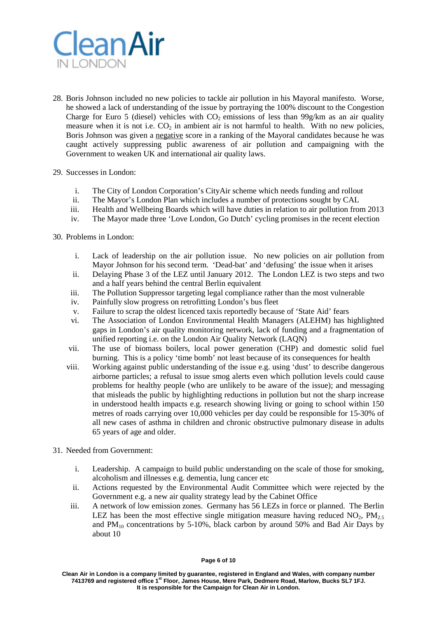

- 28. Boris Johnson included no new policies to tackle air pollution in his Mayoral manifesto. Worse, he showed a lack of understanding of the issue by portraying the 100% discount to the Congestion Charge for Euro 5 (diesel) vehicles with  $CO<sub>2</sub>$  emissions of less than 99g/km as an air quality measure when it is not i.e.  $CO<sub>2</sub>$  in ambient air is not harmful to health. With no new policies, Boris Johnson was given a negative score in a ranking of the Mayoral candidates because he was caught actively suppressing public awareness of air pollution and campaigning with the Government to weaken UK and international air quality laws.
- 29. Successes in London:
	- i. The City of London Corporation's CityAir scheme which needs funding and rollout
	- ii. The Mayor's London Plan which includes a number of protections sought by CAL
	- iii. Health and Wellbeing Boards which will have duties in relation to air pollution from 2013
	- iv. The Mayor made three 'Love London, Go Dutch' cycling promises in the recent election
- 30. Problems in London:
	- i. Lack of leadership on the air pollution issue. No new policies on air pollution from Mayor Johnson for his second term. 'Dead-bat' and 'defusing' the issue when it arises
	- ii. Delaying Phase 3 of the LEZ until January 2012. The London LEZ is two steps and two and a half years behind the central Berlin equivalent
	- iii. The Pollution Suppressor targeting legal compliance rather than the most vulnerable
	- iv. Painfully slow progress on retrofitting London's bus fleet
	- v. Failure to scrap the oldest licenced taxis reportedly because of 'State Aid' fears
	- vi. The Association of London Environmental Health Managers (ALEHM) has highlighted gaps in London's air quality monitoring network, lack of funding and a fragmentation of unified reporting i.e. on the London Air Quality Network (LAQN)
	- vii. The use of biomass boilers, local power generation (CHP) and domestic solid fuel burning. This is a policy 'time bomb' not least because of its consequences for health
	- viii. Working against public understanding of the issue e.g. using 'dust' to describe dangerous airborne particles; a refusal to issue smog alerts even which pollution levels could cause problems for healthy people (who are unlikely to be aware of the issue); and messaging that misleads the public by highlighting reductions in pollution but not the sharp increase in understood health impacts e.g. research showing living or going to school within 150 metres of roads carrying over 10,000 vehicles per day could be responsible for 15-30% of all new cases of asthma in children and chronic obstructive pulmonary disease in adults 65 years of age and older.
- 31. Needed from Government:
	- i. Leadership. A campaign to build public understanding on the scale of those for smoking, alcoholism and illnesses e.g. dementia, lung cancer etc
	- ii. Actions requested by the Environmental Audit Committee which were rejected by the Government e.g. a new air quality strategy lead by the Cabinet Office
	- iii. A network of low emission zones. Germany has 56 LEZs in force or planned. The Berlin LEZ has been the most effective single mitigation measure having reduced  $NO<sub>2</sub>$ ,  $PM<sub>2.5</sub>$ and  $PM_{10}$  concentrations by 5-10%, black carbon by around 50% and Bad Air Days by about 10

#### **Page 6 of 10**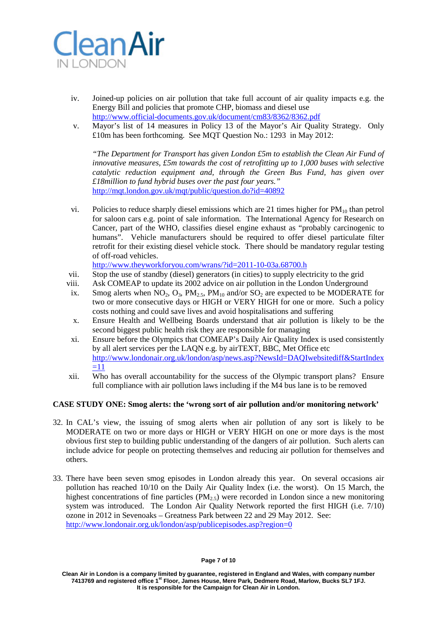

- iv. Joined-up policies on air pollution that take full account of air quality impacts e.g. the Energy Bill and policies that promote CHP, biomass and diesel use <http://www.official-documents.gov.uk/document/cm83/8362/8362.pdf>
- v. Mayor's list of 14 measures in Policy 13 of the Mayor's Air Quality Strategy. Only £10m has been forthcoming. See MQT Question No.: 1293 in May 2012:

*"The Department for Transport has given London £5m to establish the Clean Air Fund of innovative measures, £5m towards the cost of retrofitting up to 1,000 buses with selective catalytic reduction equipment and, through the Green Bus Fund, has given over £18million to fund hybrid buses over the past four years."* <http://mqt.london.gov.uk/mqt/public/question.do?id=40892>

vi. Policies to reduce sharply diesel emissions which are 21 times higher for  $PM_{10}$  than petrol for saloon cars e.g. point of sale information. The International Agency for Research on Cancer, part of the WHO, classifies diesel engine exhaust as "probably carcinogenic to humans". Vehicle manufacturers should be required to offer diesel particulate filter retrofit for their existing diesel vehicle stock. There should be mandatory regular testing of off-road vehicles.

<http://www.theyworkforyou.com/wrans/?id=2011-10-03a.68700.h>

- vii. Stop the use of standby (diesel) generators (in cities) to supply electricity to the grid
- viii. Ask COMEAP to update its 2002 advice on air pollution in the London Underground
- ix. Smog alerts when  $NO_2$ ,  $O_3$ ,  $PM_{2.5}$ ,  $PM_{10}$  and/or  $SO_2$  are expected to be MODERATE for two or more consecutive days or HIGH or VERY HIGH for one or more. Such a policy costs nothing and could save lives and avoid hospitalisations and suffering
- x. Ensure Health and Wellbeing Boards understand that air pollution is likely to be the second biggest public health risk they are responsible for managing
- xi. Ensure before the Olympics that COMEAP's Daily Air Quality Index is used consistently by all alert services per the LAQN e.g. by airTEXT, BBC, Met Office etc [http://www.londonair.org.uk/london/asp/news.asp?NewsId=DAQIwebsitediff&StartIndex](http://www.londonair.org.uk/london/asp/news.asp?NewsId=DAQIwebsitediff&StartIndex=11)  $\equiv 11$
- xii. Who has overall accountability for the success of the Olympic transport plans? Ensure full compliance with air pollution laws including if the M4 bus lane is to be removed

### **CASE STUDY ONE: Smog alerts: the 'wrong sort of air pollution and/or monitoring network'**

- 32. In CAL's view, the issuing of smog alerts when air pollution of any sort is likely to be MODERATE on two or more days or HIGH or VERY HIGH on one or more days is the most obvious first step to building public understanding of the dangers of air pollution. Such alerts can include advice for people on protecting themselves and reducing air pollution for themselves and others.
- 33. There have been seven smog episodes in London already this year. On several occasions air pollution has reached 10/10 on the Daily Air Quality Index (i.e. the worst). On 15 March, the highest concentrations of fine particles  $(PM_{2.5})$  were recorded in London since a new monitoring system was introduced. The London Air Quality Network reported the first HIGH (i.e. 7/10) ozone in 2012 in Sevenoaks – Greatness Park between 22 and 29 May 2012. See: <http://www.londonair.org.uk/london/asp/publicepisodes.asp?region=0>

**Clean Air in London is a company limited by guarantee, registered in England and Wales, with company number 7413769 and registered office 1st Floor, James House, Mere Park, Dedmere Road, Marlow, Bucks SL7 1FJ. It is responsible for the Campaign for Clean Air in London.**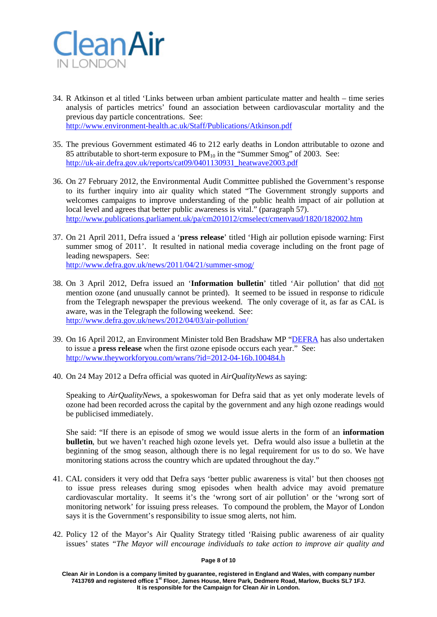

- 34. R Atkinson et al titled 'Links between urban ambient particulate matter and health time series analysis of particles metrics' found an association between cardiovascular mortality and the previous day particle concentrations. See: <http://www.environment-health.ac.uk/Staff/Publications/Atkinson.pdf>
- 35. The previous Government estimated 46 to 212 early deaths in London attributable to ozone and 85 attributable to short-term exposure to  $PM_{10}$  in the "Summer Smog" of 2003. See:
	- [http://uk-air.defra.gov.uk/reports/cat09/0401130931\\_heatwave2003.pdf](http://uk-air.defra.gov.uk/reports/cat09/0401130931_heatwave2003.pdf)
- 36. On 27 February 2012, the Environmental Audit Committee published the Government's response to its further inquiry into air quality which stated "The Government strongly supports and welcomes campaigns to improve understanding of the public health impact of air pollution at local level and agrees that better public awareness is vital." (paragraph 57). <http://www.publications.parliament.uk/pa/cm201012/cmselect/cmenvaud/1820/182002.htm>
- 37. On 21 April 2011, Defra issued a '**press release**' titled 'High air pollution episode warning: First summer smog of 2011'. It resulted in national media coverage including on the front page of leading newspapers. See: <http://www.defra.gov.uk/news/2011/04/21/summer-smog/>
- 38. On 3 April 2012, Defra issued an '**Information bulletin**' titled 'Air pollution' that did not mention ozone (and unusually cannot be printed). It seemed to be issued in response to ridicule from the Telegraph newspaper the previous weekend. The only coverage of it, as far as CAL is aware, was in the Telegraph the following weekend. See: <http://www.defra.gov.uk/news/2012/04/03/air-pollution/>
- 39. On 16 April 2012, an Environment Minister told Ben Bradshaw MP ["DEFRA](http://en.wikipedia.org/wiki/DEFRA) has also undertaken to issue a **press release** when the first ozone episode occurs each year." See: <http://www.theyworkforyou.com/wrans/?id=2012-04-16b.100484.h>
- 40. On 24 May 2012 a Defra official was quoted in *AirQualityNews* as saying:

Speaking to *AirQualityNews*, a spokeswoman for Defra said that as yet only moderate levels of ozone had been recorded across the capital by the government and any high ozone readings would be publicised immediately.

She said: "If there is an episode of smog we would issue alerts in the form of an **information bulletin**, but we haven't reached high ozone levels yet. Defra would also issue a bulletin at the beginning of the smog season, although there is no legal requirement for us to do so. We have monitoring stations across the country which are updated throughout the day."

- 41. CAL considers it very odd that Defra says 'better public awareness is vital' but then chooses not to issue press releases during smog episodes when health advice may avoid premature cardiovascular mortality. It seems it's the 'wrong sort of air pollution' or the 'wrong sort of monitoring network' for issuing press releases. To compound the problem, the Mayor of London says it is the Government's responsibility to issue smog alerts, not him.
- 42. Policy 12 of the Mayor's Air Quality Strategy titled 'Raising public awareness of air quality issues' states *"The Mayor will encourage individuals to take action to improve air quality and*

#### **Page 8 of 10**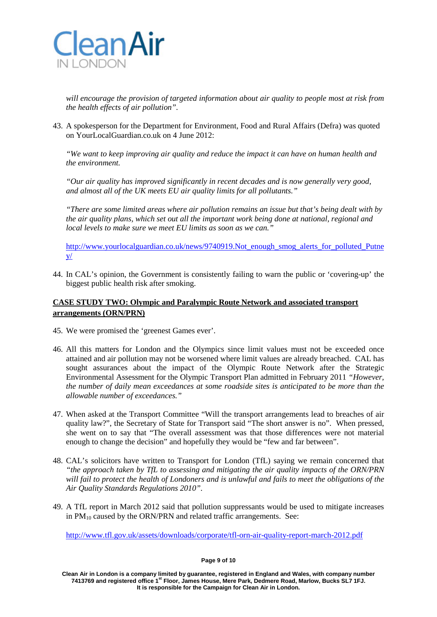

*will encourage the provision of targeted information about air quality to people most at risk from the health effects of air pollution".*

43. A spokesperson for the Department for Environment, Food and Rural Affairs (Defra) was quoted on YourLocalGuardian.co.uk on 4 June 2012:

*"We want to keep improving air quality and reduce the impact it can have on human health and the environment.*

*"Our air quality has improved significantly in recent decades and is now generally very good, and almost all of the UK meets EU air quality limits for all pollutants."*

*"There are some limited areas where air pollution remains an issue but that's being dealt with by the air quality plans, which set out all the important work being done at national, regional and local levels to make sure we meet EU limits as soon as we can."*

[http://www.yourlocalguardian.co.uk/news/9740919.Not\\_enough\\_smog\\_alerts\\_for\\_polluted\\_Putne](http://www.yourlocalguardian.co.uk/news/9740919.Not_enough_smog_alerts_for_polluted_Putney/)  $V/$ 

44. In CAL's opinion, the Government is consistently failing to warn the public or 'covering-up' the biggest public health risk after smoking.

# **CASE STUDY TWO: Olympic and Paralympic Route Network and associated transport arrangements (ORN/PRN)**

- 45. We were promised the 'greenest Games ever'.
- 46. All this matters for London and the Olympics since limit values must not be exceeded once attained and air pollution may not be worsened where limit values are already breached. CAL has sought assurances about the impact of the Olympic Route Network after the Strategic Environmental Assessment for the Olympic Transport Plan admitted in February 2011 *"However, the number of daily mean exceedances at some roadside sites is anticipated to be more than the allowable number of exceedances."*
- 47. When asked at the Transport Committee "Will the transport arrangements lead to breaches of air quality law?", the Secretary of State for Transport said "The short answer is no". When pressed, she went on to say that "The overall assessment was that those differences were not material enough to change the decision" and hopefully they would be "few and far between".
- 48. CAL's solicitors have written to Transport for London (TfL) saying we remain concerned that *"the approach taken by TfL to assessing and mitigating the air quality impacts of the ORN/PRN will fail to protect the health of Londoners and is unlawful and fails to meet the obligations of the Air Quality Standards Regulations 2010".*
- 49. A TfL report in March 2012 said that pollution suppressants would be used to mitigate increases in  $PM_{10}$  caused by the ORN/PRN and related traffic arrangements. See:

<http://www.tfl.gov.uk/assets/downloads/corporate/tfl-orn-air-quality-report-march-2012.pdf>

#### **Page 9 of 10**